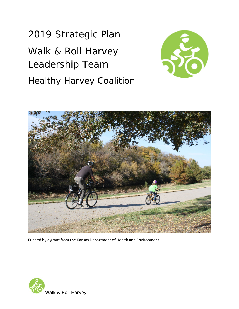2019 Strategic Plan Walk & Roll Harvey Leadership Team Healthy Harvey Coalition





Funded by a grant from the Kansas Department of Health and Environment.

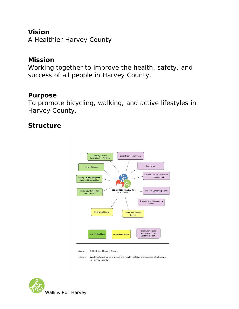#### **Vision**

A Healthier Harvey County

### **Mission**

Working together to improve the health, safety, and success of all people in Harvey County.

#### **Purpose**

To promote bicycling, walking, and active lifestyles in Harvey County.

### **Structure**



Mission: Working together to improve the health, safety, and success of all people in Harvey County

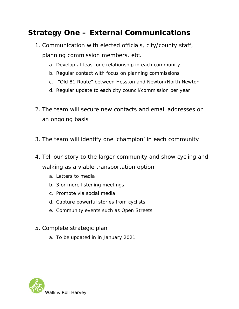## **Strategy One – External Communications**

- 1. Communication with elected officials, city/county staff, planning commission members, etc.
	- a. Develop at least one relationship in each community
	- b. Regular contact with focus on planning commissions
	- c. "Old 81 Route" between Hesston and Newton/North Newton
	- d. Regular update to each city council/commission per year
- 2. The team will secure new contacts and email addresses on an ongoing basis
- 3. The team will identify one 'champion' in each community
- 4. Tell our story to the larger community and show cycling and walking as a viable transportation option
	- a. Letters to media
	- b. 3 or more listening meetings
	- c. Promote via social media
	- d. Capture powerful stories from cyclists
	- e. Community events such as Open Streets
- 5. Complete strategic plan
	- a. To be updated in in January 2021

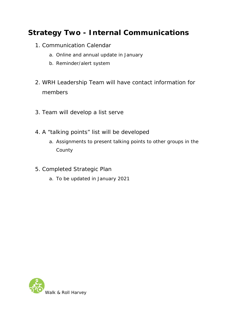## **Strategy Two - Internal Communications**

- 1. Communication Calendar
	- a. Online and annual update in January
	- b. Reminder/alert system
- 2. WRH Leadership Team will have contact information for members
- 3. Team will develop a list serve
- 4. A "talking points" list will be developed
	- a. Assignments to present talking points to other groups in the County
- 5. Completed Strategic Plan
	- a. To be updated in January 2021

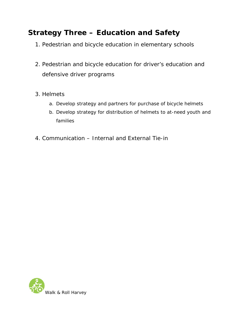# **Strategy Three – Education and Safety**

- 1. Pedestrian and bicycle education in elementary schools
- 2. Pedestrian and bicycle education for driver's education and defensive driver programs
- 3. Helmets
	- a. Develop strategy and partners for purchase of bicycle helmets
	- b. Develop strategy for distribution of helmets to at-need youth and families
- 4. Communication Internal and External Tie-in